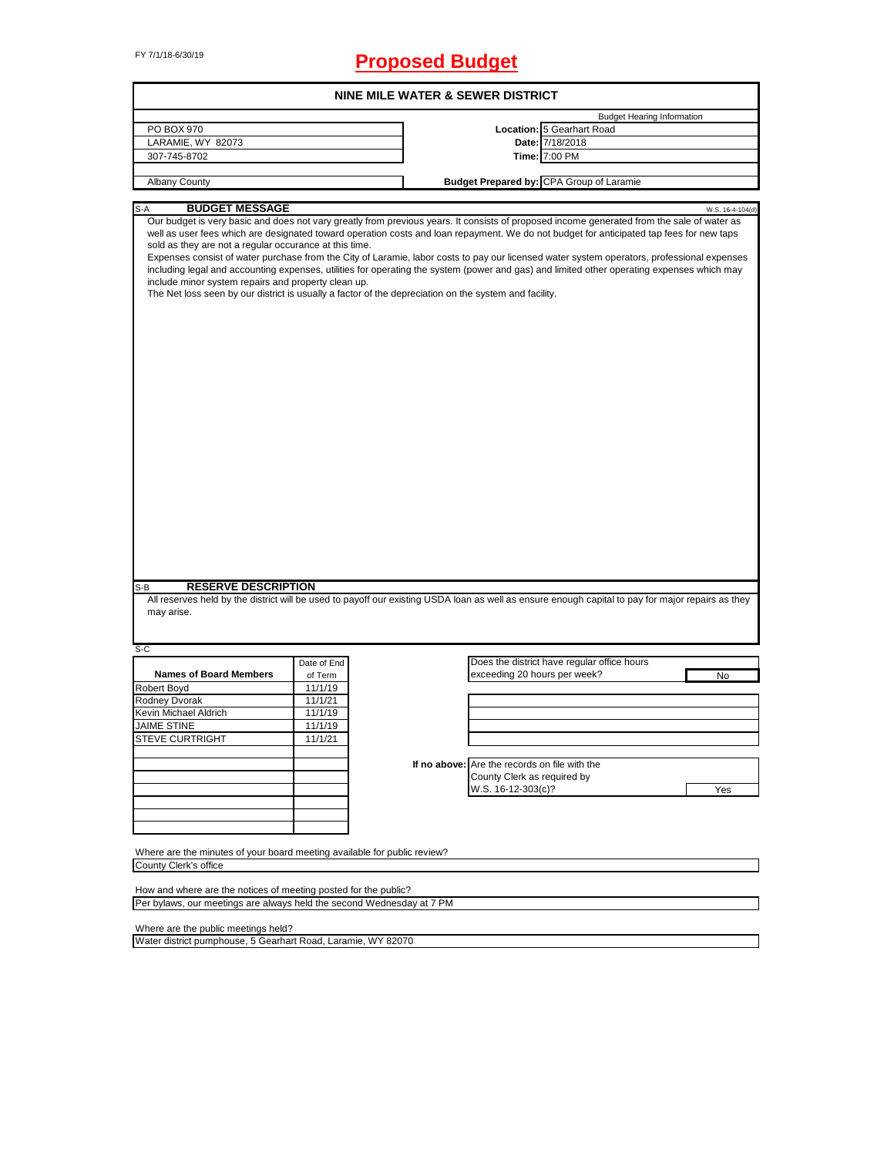# FY 7/1/18-6/30/19 **Proposed Budget**

|                                                                                                                                                                                                                                                                                                                                                                                                                                                                                                                                                                                                                                                                                                                                                                                                                                              |             |                                                                              |                                                 | <b>Budget Hearing Information</b> |                  |
|----------------------------------------------------------------------------------------------------------------------------------------------------------------------------------------------------------------------------------------------------------------------------------------------------------------------------------------------------------------------------------------------------------------------------------------------------------------------------------------------------------------------------------------------------------------------------------------------------------------------------------------------------------------------------------------------------------------------------------------------------------------------------------------------------------------------------------------------|-------------|------------------------------------------------------------------------------|-------------------------------------------------|-----------------------------------|------------------|
| PO BOX 970                                                                                                                                                                                                                                                                                                                                                                                                                                                                                                                                                                                                                                                                                                                                                                                                                                   |             |                                                                              | Location: 5 Gearhart Road                       |                                   |                  |
| LARAMIE, WY 82073                                                                                                                                                                                                                                                                                                                                                                                                                                                                                                                                                                                                                                                                                                                                                                                                                            |             |                                                                              | Date: 7/18/2018                                 |                                   |                  |
| 307-745-8702                                                                                                                                                                                                                                                                                                                                                                                                                                                                                                                                                                                                                                                                                                                                                                                                                                 |             |                                                                              | Time: 7:00 PM                                   |                                   |                  |
| <b>Albany County</b>                                                                                                                                                                                                                                                                                                                                                                                                                                                                                                                                                                                                                                                                                                                                                                                                                         |             |                                                                              | <b>Budget Prepared by: CPA Group of Laramie</b> |                                   |                  |
|                                                                                                                                                                                                                                                                                                                                                                                                                                                                                                                                                                                                                                                                                                                                                                                                                                              |             |                                                                              |                                                 |                                   |                  |
| <b>BUDGET MESSAGE</b><br>S-A<br>Our budget is very basic and does not vary greatly from previous years. It consists of proposed income generated from the sale of water as<br>well as user fees which are designated toward operation costs and loan repayment. We do not budget for anticipated tap fees for new taps<br>sold as they are not a regular occurance at this time.<br>Expenses consist of water purchase from the City of Laramie, labor costs to pay our licensed water system operators, professional expenses<br>including legal and accounting expenses, utilities for operating the system (power and gas) and limited other operating expenses which may<br>include minor system repairs and property clean up.<br>The Net loss seen by our district is usually a factor of the depreciation on the system and facility. |             |                                                                              |                                                 |                                   | W.S. 16-4-104(d) |
|                                                                                                                                                                                                                                                                                                                                                                                                                                                                                                                                                                                                                                                                                                                                                                                                                                              |             |                                                                              |                                                 |                                   |                  |
| <b>RESERVE DESCRIPTION</b><br>may arise.                                                                                                                                                                                                                                                                                                                                                                                                                                                                                                                                                                                                                                                                                                                                                                                                     |             |                                                                              |                                                 |                                   |                  |
|                                                                                                                                                                                                                                                                                                                                                                                                                                                                                                                                                                                                                                                                                                                                                                                                                                              | Date of End |                                                                              | Does the district have regular office hours     |                                   |                  |
| <b>Names of Board Members</b>                                                                                                                                                                                                                                                                                                                                                                                                                                                                                                                                                                                                                                                                                                                                                                                                                | of Term     | exceeding 20 hours per week?                                                 |                                                 |                                   | No               |
|                                                                                                                                                                                                                                                                                                                                                                                                                                                                                                                                                                                                                                                                                                                                                                                                                                              | 11/1/19     |                                                                              |                                                 |                                   |                  |
|                                                                                                                                                                                                                                                                                                                                                                                                                                                                                                                                                                                                                                                                                                                                                                                                                                              | 11/1/21     |                                                                              |                                                 |                                   |                  |
|                                                                                                                                                                                                                                                                                                                                                                                                                                                                                                                                                                                                                                                                                                                                                                                                                                              | 11/1/19     |                                                                              |                                                 |                                   |                  |
|                                                                                                                                                                                                                                                                                                                                                                                                                                                                                                                                                                                                                                                                                                                                                                                                                                              | 11/1/19     |                                                                              |                                                 |                                   |                  |
|                                                                                                                                                                                                                                                                                                                                                                                                                                                                                                                                                                                                                                                                                                                                                                                                                                              | 11/1/21     |                                                                              |                                                 |                                   |                  |
|                                                                                                                                                                                                                                                                                                                                                                                                                                                                                                                                                                                                                                                                                                                                                                                                                                              |             |                                                                              |                                                 |                                   |                  |
| All reserves held by the district will be used to payoff our existing USDA loan as well as ensure enough capital to pay for major repairs as they                                                                                                                                                                                                                                                                                                                                                                                                                                                                                                                                                                                                                                                                                            |             | If no above: Are the records on file with the<br>County Clerk as required by |                                                 |                                   |                  |
|                                                                                                                                                                                                                                                                                                                                                                                                                                                                                                                                                                                                                                                                                                                                                                                                                                              |             | W.S. 16-12-303(c)?                                                           |                                                 |                                   | Yes              |
| S-B<br>$S-C$<br>Robert Boyd<br>Rodney Dvorak<br>Kevin Michael Aldrich<br><b>JAIME STINE</b><br><b>STEVE CURTRIGHT</b>                                                                                                                                                                                                                                                                                                                                                                                                                                                                                                                                                                                                                                                                                                                        |             |                                                                              |                                                 |                                   |                  |
|                                                                                                                                                                                                                                                                                                                                                                                                                                                                                                                                                                                                                                                                                                                                                                                                                                              |             |                                                                              |                                                 |                                   |                  |
|                                                                                                                                                                                                                                                                                                                                                                                                                                                                                                                                                                                                                                                                                                                                                                                                                                              |             |                                                                              |                                                 |                                   |                  |

How and where are the notices of meeting posted for the public? Per bylaws, our meetings are always held the second Wednesday at 7 PM

Where are the public meetings held?

Water district pumphouse, 5 Gearhart Road, Laramie, WY 82070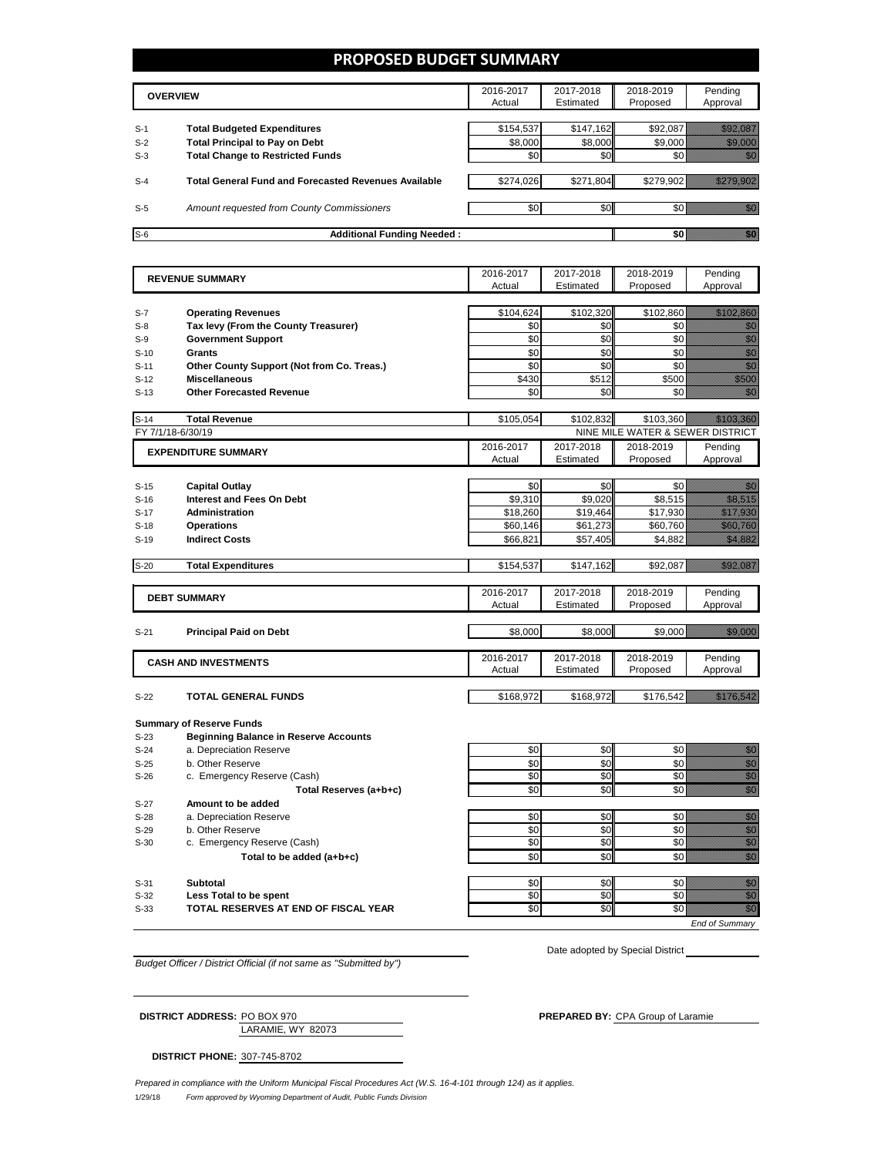### **PROPOSED BUDGET SUMMARY**

|       | <b>OVERVIEW</b>                                             | 2016-2017<br>Actual | 2017-2018<br>Estimated | 2018-2019<br>Proposed | Pending<br>Approval |
|-------|-------------------------------------------------------------|---------------------|------------------------|-----------------------|---------------------|
| $S-1$ | <b>Total Budgeted Expenditures</b>                          | \$154,537           | \$147,162              | \$92,087              |                     |
| $S-2$ | <b>Total Principal to Pay on Debt</b>                       | \$8,000             | \$8,000                | \$9,000               |                     |
| $S-3$ | <b>Total Change to Restricted Funds</b>                     | \$0                 | \$0                    |                       |                     |
| $S-4$ | <b>Total General Fund and Forecasted Revenues Available</b> | \$274.026           | \$271,804              | \$279.902             |                     |
| $S-5$ | Amount requested from County Commissioners                  | \$0                 | \$0                    |                       |                     |
| $S-6$ | <b>Additional Funding Needed:</b>                           |                     |                        |                       |                     |

|        | <b>REVENUE SUMMARY</b>                       |                     | 2017-2018              | 2018-2019                        | Pending                                                                                                                                                                                                                           |
|--------|----------------------------------------------|---------------------|------------------------|----------------------------------|-----------------------------------------------------------------------------------------------------------------------------------------------------------------------------------------------------------------------------------|
|        |                                              | Actual              | Estimated              | Proposed                         | Approval                                                                                                                                                                                                                          |
|        |                                              |                     |                        |                                  |                                                                                                                                                                                                                                   |
| $S-7$  | <b>Operating Revenues</b>                    | \$104,624           | \$102,320              | \$102,860                        | <u> Hillingan Sa</u>                                                                                                                                                                                                              |
| $S-8$  | Tax levy (From the County Treasurer)         | \$0                 | \$0                    | \$0                              | en de la familie de la familie de la familie de la familie de la familie de la familie de la familie de la fa<br>Espainia                                                                                                         |
| $S-9$  | <b>Government Support</b>                    | \$0                 | \$0                    | \$0                              | en de la familie de la familie de la familie de la familie de la familie de la familie de la familie de la fam<br>Concelho de la familie de la familie de la familie de la familie de la familie de la familie de la familie de   |
| $S-10$ | <b>Grants</b>                                | \$0                 | \$0                    | \$0                              | anan<br>Malaysia                                                                                                                                                                                                                  |
| $S-11$ | Other County Support (Not from Co. Treas.)   | \$0                 | \$0                    | \$0                              | en de la familie de la familie de la familie de la familie de la familie de la familie de la familie de la fam<br>Constituit de la familie de la familie de la familie de la familie de la familie de la familie de la familie d  |
| $S-12$ | <b>Miscellaneous</b>                         | \$430               | \$512                  | \$500                            | a a a an t-                                                                                                                                                                                                                       |
| $S-13$ | <b>Other Forecasted Revenue</b>              | \$0                 | \$0                    | \$0                              | en de la familie de la familie de la familie de la familie de la familie de la familie de la familie de la fam<br>Constitution de la familie de la familie de la familie de la familie de la familie de la familie de la familie  |
|        |                                              |                     |                        |                                  |                                                                                                                                                                                                                                   |
| $S-14$ | <b>Total Revenue</b>                         | \$105,054           | \$102,832              | \$103,360                        | <u> University</u>                                                                                                                                                                                                                |
|        | FY 7/1/18-6/30/19                            |                     |                        | NINE MILE WATER & SEWER DISTRICT |                                                                                                                                                                                                                                   |
|        | <b>EXPENDITURE SUMMARY</b>                   | 2016-2017           | 2017-2018              | 2018-2019                        | Pending                                                                                                                                                                                                                           |
|        |                                              | Actual              | Estimated              | Proposed                         | Approval                                                                                                                                                                                                                          |
|        |                                              |                     |                        |                                  |                                                                                                                                                                                                                                   |
| $S-15$ | <b>Capital Outlay</b>                        | \$0                 | \$0                    | \$0                              | en de la familie de la familie de la familie de la familie de la familie de la familie de la familie de la fa<br>Constitution de la familie de la familie de la familie de la familie de la familie de la familie de la familie   |
| $S-16$ | <b>Interest and Fees On Debt</b>             | \$9,310             | \$9,020                | \$8,515                          | <u>tik ka</u>                                                                                                                                                                                                                     |
| $S-17$ | <b>Administration</b>                        | \$18,260            | \$19,464               | \$17,930                         | <u>Timining K</u>                                                                                                                                                                                                                 |
| $S-18$ | <b>Operations</b>                            | \$60,146            | \$61,273               | \$60,760                         | <b>Santa Carlotta</b>                                                                                                                                                                                                             |
| $S-19$ | <b>Indirect Costs</b>                        | \$66,821            | \$57,405               | \$4,882                          | <u>ti ka</u>                                                                                                                                                                                                                      |
|        |                                              |                     |                        |                                  |                                                                                                                                                                                                                                   |
| $S-20$ | <b>Total Expenditures</b>                    | \$154,537           | \$147,162              | \$92,087                         | <u>tionalisti k</u>                                                                                                                                                                                                               |
|        |                                              |                     |                        |                                  |                                                                                                                                                                                                                                   |
|        | <b>DEBT SUMMARY</b>                          | 2016-2017           | 2017-2018              | 2018-2019                        | Pending                                                                                                                                                                                                                           |
|        |                                              | Actual              | Estimated              | Proposed                         | Approval                                                                                                                                                                                                                          |
|        |                                              |                     |                        |                                  |                                                                                                                                                                                                                                   |
| $S-21$ | <b>Principal Paid on Debt</b>                | \$8,000             | \$8,000                | \$9,000                          | <u> Hillian Sa</u>                                                                                                                                                                                                                |
|        |                                              |                     |                        |                                  |                                                                                                                                                                                                                                   |
|        | <b>CASH AND INVESTMENTS</b>                  | 2016-2017<br>Actual | 2017-2018<br>Estimated | 2018-2019<br>Proposed            | Pending<br>Approval                                                                                                                                                                                                               |
|        |                                              |                     |                        |                                  |                                                                                                                                                                                                                                   |
| $S-22$ | <b>TOTAL GENERAL FUNDS</b>                   | \$168,972           | \$168,972              | \$176,542                        | <u> Karl Sara</u>                                                                                                                                                                                                                 |
|        |                                              |                     |                        |                                  |                                                                                                                                                                                                                                   |
|        | <b>Summary of Reserve Funds</b>              |                     |                        |                                  |                                                                                                                                                                                                                                   |
| $S-23$ | <b>Beginning Balance in Reserve Accounts</b> |                     |                        |                                  |                                                                                                                                                                                                                                   |
| $S-24$ | a. Depreciation Reserve                      | \$0                 | \$0                    | \$0                              |                                                                                                                                                                                                                                   |
| $S-25$ | b. Other Reserve                             | \$0                 | \$0                    | \$0                              | en de la provincia de la construcción de la construcción de la construcción de la construcción de la construcc<br>Construcción de la construcción de la construcción de la construcción de la construcción de la construcción de  |
| $S-26$ | c. Emergency Reserve (Cash)                  | \$0                 | \$0                    | \$0                              |                                                                                                                                                                                                                                   |
|        | Total Reserves (a+b+c)                       | \$0                 | \$0                    | \$0                              | en de la filòla del característica de la filòla de la filòla de la filòla de la filòla de la filòla de la filòl<br>Característica                                                                                                 |
| $S-27$ | Amount to be added                           |                     |                        |                                  |                                                                                                                                                                                                                                   |
| $S-28$ | a. Depreciation Reserve                      | \$0                 | \$0                    | \$0                              | en digital<br>Mahal                                                                                                                                                                                                               |
| $S-29$ | b. Other Reserve                             | \$0                 | \$0                    | \$0                              |                                                                                                                                                                                                                                   |
| $S-30$ | c. Emergency Reserve (Cash)                  | \$0                 | \$0                    | \$0                              | e de la composición de la composición de la composición de la composición de la composición de la composición<br>Composición de la composición de la composición de la composición de la composición de la composición de la co   |
|        | Total to be added (a+b+c)                    | \$0                 | \$0                    | $\overline{50}$                  | en de la filo<br>Maria de la filòla del control de la filòla de la filòla de la filòla de la filòla de la filòla<br>Maria de la filòla de la filòla de la filòla de la filòla de la filòla de la filòla de la filòla de la filòla |
|        |                                              |                     |                        |                                  |                                                                                                                                                                                                                                   |
| $S-31$ | <b>Subtotal</b>                              | \$0                 | \$0                    | \$0                              |                                                                                                                                                                                                                                   |
| $S-32$ | Less Total to be spent                       | \$0                 | \$0                    | \$0                              | e de la composición de la composición de la composición de la composición de la composición de la composición<br>Composición de la composición de la composición de la composición de la composición de la composición de la co   |
| $S-33$ | TOTAL RESERVES AT END OF FISCAL YEAR         | \$0                 | \$0                    | \$0                              | en de la familie de la familie de la familie de la familie de la familie de la familie de la familie de la fa<br>Constituit de la familie de la familie de la familie de la familie de la familie de la familie de la familie d   |
|        |                                              |                     |                        |                                  |                                                                                                                                                                                                                                   |

*End of Summary*

*Budget Officer / District Official (if not same as "Submitted by")*

Date adopted by Special District

LARAMIE, WY 82073 **DISTRICT PHONE:** 307-745-8702

**DISTRICT ADDRESS:** PO BOX 970 **PREPARED BY:** CPA Group of Laramie

1/29/18 *Form approved by Wyoming Department of Audit, Public Funds Division Prepared in compliance with the Uniform Municipal Fiscal Procedures Act (W.S. 16-4-101 through 124) as it applies.*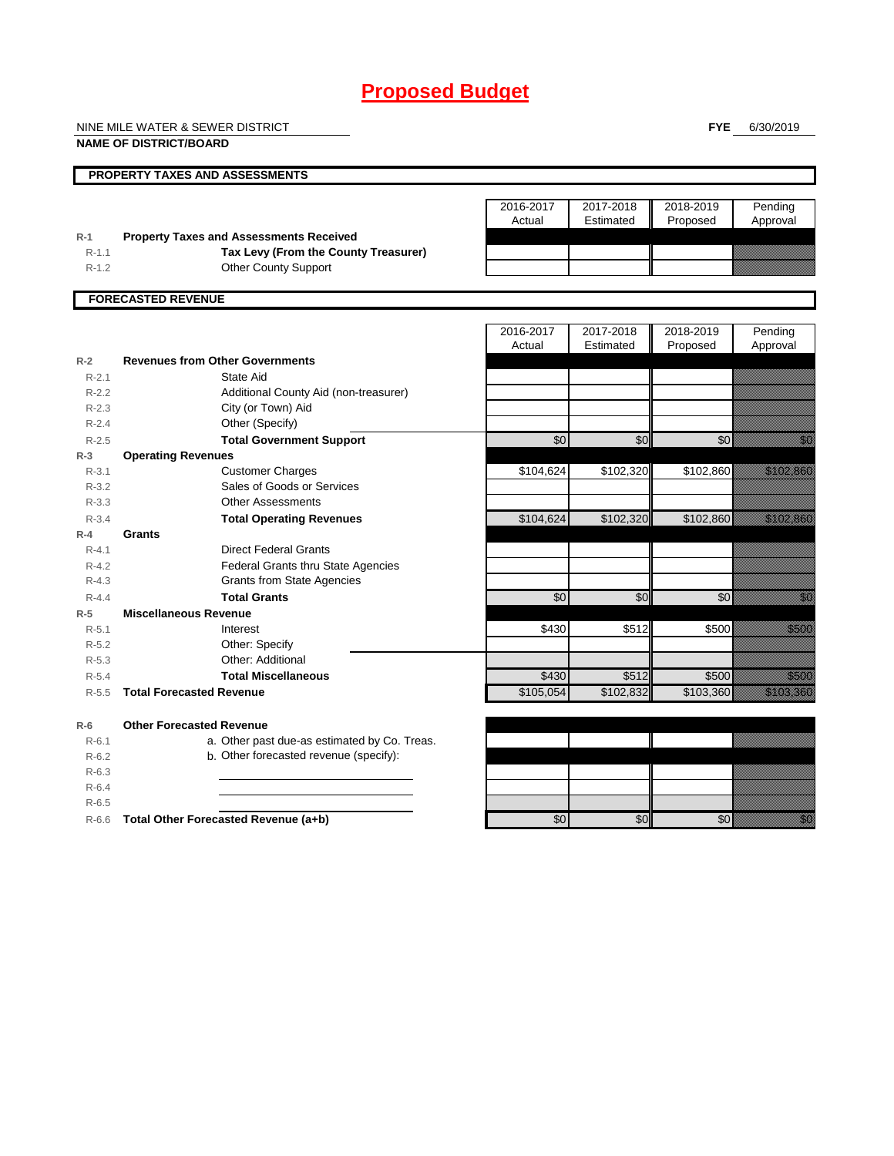# **Proposed Budget**

NINE MILE WATER & SEWER DISTRICT

**FYE** 6/30/2019

|           | <b>NAME OF DISTRICT/BOARD</b>                  |                     |                        |                       |                       |
|-----------|------------------------------------------------|---------------------|------------------------|-----------------------|-----------------------|
|           | PROPERTY TAXES AND ASSESSMENTS                 |                     |                        |                       |                       |
|           |                                                | 2016-2017<br>Actual | 2017-2018<br>Estimated | 2018-2019<br>Proposed | Pending<br>Approval   |
| $R-1$     | <b>Property Taxes and Assessments Received</b> |                     |                        |                       |                       |
| $R-1.1$   | Tax Levy (From the County Treasurer)           |                     |                        |                       |                       |
| $R-1.2$   | <b>Other County Support</b>                    |                     |                        |                       |                       |
|           | <b>FORECASTED REVENUE</b>                      |                     |                        |                       |                       |
|           |                                                | 2016-2017           | 2017-2018              | 2018-2019             | Pending               |
|           |                                                | Actual              | Estimated              | Proposed              | Approval              |
| $R-2$     | <b>Revenues from Other Governments</b>         |                     |                        |                       |                       |
| $R - 2.1$ | State Aid                                      |                     |                        |                       |                       |
| $R-2.2$   | Additional County Aid (non-treasurer)          |                     |                        |                       |                       |
| $R-2.3$   | City (or Town) Aid                             |                     |                        |                       |                       |
| $R - 2.4$ | Other (Specify)                                |                     |                        |                       |                       |
| $R-2.5$   | <b>Total Government Support</b>                | \$0                 | \$0                    | \$0                   |                       |
| $R-3$     | <b>Operating Revenues</b>                      |                     |                        |                       |                       |
| $R - 3.1$ | <b>Customer Charges</b>                        | \$104,624           | \$102,320              | \$102,860             | <u>Maria Sant</u>     |
| $R - 3.2$ | Sales of Goods or Services                     |                     |                        |                       |                       |
| $R - 3.3$ | <b>Other Assessments</b>                       |                     |                        |                       |                       |
| $R - 3.4$ | <b>Total Operating Revenues</b>                | \$104,624           | \$102,320              | \$102,860             | <u> Harristo e</u>    |
| $R-4$     | Grants                                         |                     |                        |                       |                       |
| $R - 4.1$ | <b>Direct Federal Grants</b>                   |                     |                        |                       |                       |
| $R - 4.2$ | <b>Federal Grants thru State Agencies</b>      |                     |                        |                       |                       |
| $R - 4.3$ | <b>Grants from State Agencies</b>              |                     |                        |                       |                       |
| $R - 4.4$ | <b>Total Grants</b>                            | \$0                 | \$0                    | \$0                   |                       |
| $R-5$     | <b>Miscellaneous Revenue</b>                   |                     |                        |                       |                       |
| $R - 5.1$ | Interest                                       | \$430               | \$512                  | \$500                 | <u>tional</u>         |
| $R-5.2$   | Other: Specify                                 |                     |                        |                       |                       |
| $R-5.3$   | Other: Additional                              |                     |                        |                       |                       |
| $R-5.4$   | <b>Total Miscellaneous</b>                     | \$430               | \$512                  | \$500                 | <u>tional</u>         |
| $R-5.5$   | <b>Total Forecasted Revenue</b>                | \$105,054           | \$102,832              | \$103,360             | <u> Maria Maria (</u> |
| $R-6$     | <b>Other Forecasted Revenue</b>                |                     |                        |                       |                       |
| $R - 6.1$ | a. Other past due-as estimated by Co. Treas.   |                     |                        |                       |                       |
| $R-6.2$   | b. Other forecasted revenue (specify):         |                     |                        |                       |                       |
| $R-6.3$   |                                                |                     |                        |                       |                       |
| $R - 6.4$ |                                                |                     |                        |                       |                       |
| $R - 6.5$ |                                                |                     |                        |                       |                       |
| $R-6.6$   | Total Other Forecasted Revenue (a+b)           | \$0                 | \$0                    | $\overline{50}$       |                       |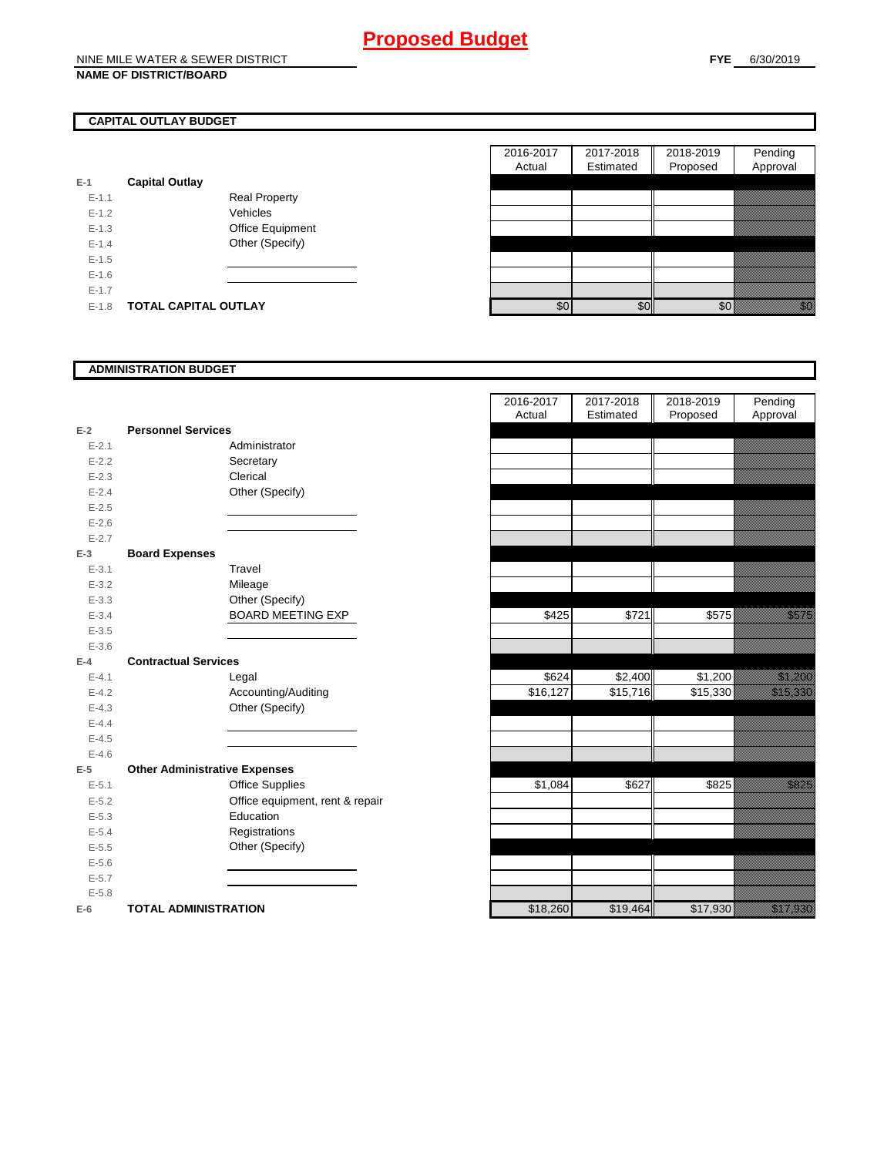### **NAME OF DISTRICT/BOARD**

## **CAPITAL OUTLAY BUDGET**

| E-1     | <b>Capital Outlay</b> |                         |
|---------|-----------------------|-------------------------|
| $F-11$  |                       | <b>Real Property</b>    |
| $F-12$  |                       | Vehicles                |
| $F-1.3$ |                       | <b>Office Equipment</b> |
| $F-14$  |                       | Other (Specify)         |
| $F-1.5$ |                       |                         |
| $F-16$  |                       |                         |
| $F-17$  |                       |                         |
| F-18    | TOTAL CAPITAL OUTLAY  |                         |

|           |                             |                      | 2016-2017 | 2017-2018 | 2018-2019 | Pending        |  |
|-----------|-----------------------------|----------------------|-----------|-----------|-----------|----------------|--|
|           |                             |                      | Actual    | Estimated | Proposed  | Approval       |  |
|           | <b>Capital Outlay</b>       |                      |           |           |           |                |  |
| $E - 1.1$ |                             | <b>Real Property</b> |           |           |           |                |  |
| $E - 1.2$ |                             | Vehicles             |           |           |           |                |  |
| $E-1.3$   |                             | Office Equipment     |           |           |           |                |  |
| $E - 1.4$ |                             | Other (Specify)      |           |           |           |                |  |
| $E-1.5$   |                             |                      |           |           |           |                |  |
| $E-1.6$   |                             |                      |           |           |           |                |  |
| $E - 1.7$ |                             |                      |           |           |           |                |  |
| $E-1.8$   | <b>TOTAL CAPITAL OUTLAY</b> |                      | \$0       | \$0       | \$0       | elli<br>Martin |  |
|           |                             |                      |           |           |           |                |  |

### **ADMINISTRATION BUDGET**

| $E-2$     | <b>Personnel Services</b>            |                                 |
|-----------|--------------------------------------|---------------------------------|
| $E - 2.1$ |                                      | Administrator                   |
| $E - 2.2$ |                                      | Secretary                       |
| $E - 2.3$ |                                      | Clerical                        |
| $E-2.4$   |                                      | Other (Specify)                 |
| $E - 2.5$ |                                      |                                 |
| $E - 2.6$ |                                      |                                 |
| $E - 2.7$ |                                      |                                 |
| $E-3$     | <b>Board Expenses</b>                |                                 |
| $E - 3.1$ |                                      | Travel                          |
| $E - 3.2$ |                                      | Mileage                         |
| $E - 3.3$ |                                      | Other (Specify)                 |
| $E - 3.4$ |                                      | <b>BOARD MEETING EXP</b>        |
| $E - 3.5$ |                                      |                                 |
| $E - 3.6$ |                                      |                                 |
| $E-4$     | <b>Contractual Services</b>          |                                 |
| $E - 4.1$ |                                      | Legal                           |
| $E - 4.2$ |                                      | Accounting/Auditing             |
| $E - 4.3$ |                                      | Other (Specify)                 |
| $E - 4.4$ |                                      |                                 |
| $E - 4.5$ |                                      |                                 |
| $E - 4.6$ |                                      |                                 |
| $E-5$     | <b>Other Administrative Expenses</b> |                                 |
| $E - 5.1$ |                                      | <b>Office Supplies</b>          |
| $E - 5.2$ |                                      | Office equipment, rent & repair |
| $E - 5.3$ |                                      | Education                       |
| $E - 5.4$ |                                      | Registrations                   |
| $E - 5.5$ |                                      | Other (Specify)                 |
| $E - 5.6$ |                                      |                                 |
| $E - 5.7$ |                                      |                                 |
| $E - 5.8$ |                                      |                                 |
| E-6       | <b>TOTAL ADMINISTRATION</b>          |                                 |

|                          |                                      | 2016-2017<br>Actual | 2017-2018<br>Estimated | 2018-2019<br>Proposed | Pending<br>Approval                                                                                                  |
|--------------------------|--------------------------------------|---------------------|------------------------|-----------------------|----------------------------------------------------------------------------------------------------------------------|
| Ž                        | <b>Personnel Services</b>            |                     |                        |                       |                                                                                                                      |
| $E - 2.1$                | Administrator                        |                     |                        |                       |                                                                                                                      |
| $E - 2.2$                | Secretary                            |                     |                        |                       |                                                                                                                      |
| $E - 2.3$                | Clerical                             |                     |                        |                       |                                                                                                                      |
| $E - 2.4$                | Other (Specify)                      |                     |                        |                       |                                                                                                                      |
| $E - 2.5$                |                                      |                     |                        |                       |                                                                                                                      |
| $E - 2.6$                |                                      |                     |                        |                       |                                                                                                                      |
| $E - 2.7$                |                                      |                     |                        |                       |                                                                                                                      |
| 3                        | <b>Board Expenses</b>                |                     |                        |                       |                                                                                                                      |
| $E - 3.1$                | Travel                               |                     |                        |                       |                                                                                                                      |
| $E - 3.2$                | Mileage                              |                     |                        |                       |                                                                                                                      |
| $E - 3.3$                | Other (Specify)                      |                     |                        |                       |                                                                                                                      |
| $E - 3.4$                | <b>BOARD MEETING EXP</b>             | \$425               | \$721                  | \$575                 | <u>i ka</u>                                                                                                          |
| $E - 3.5$                |                                      |                     |                        |                       |                                                                                                                      |
| $E - 3.6$                |                                      |                     |                        |                       |                                                                                                                      |
| ı.                       | <b>Contractual Services</b>          |                     |                        |                       |                                                                                                                      |
| $E - 4.1$                | Legal                                | \$624               | \$2,400                | \$1,200               |                                                                                                                      |
| $E - 4.2$                | Accounting/Auditing                  | \$16,127            | \$15,716               | \$15,330              | <u> Kalendari Serikal Serikatan Serikatan Serikatan Serikatan Serikatan Serikatan Serikatan Serikatan Serikatan </u> |
| $E - 4.3$                | Other (Specify)                      |                     |                        |                       |                                                                                                                      |
| $E - 4.4$                |                                      |                     |                        |                       |                                                                                                                      |
| $E - 4.5$                |                                      |                     |                        |                       |                                                                                                                      |
| $E - 4.6$                |                                      |                     |                        |                       |                                                                                                                      |
| $\overline{\phantom{a}}$ | <b>Other Administrative Expenses</b> |                     |                        |                       |                                                                                                                      |
| $E - 5.1$                | <b>Office Supplies</b>               | \$1,084             | \$627                  | \$825                 | <u>i ka</u>                                                                                                          |
| $E - 5.2$                | Office equipment, rent & repair      |                     |                        |                       |                                                                                                                      |
| $E - 5.3$                | Education                            |                     |                        |                       |                                                                                                                      |
| $E - 5.4$                | Registrations                        |                     |                        |                       |                                                                                                                      |
| $E - 5.5$                | Other (Specify)                      |                     |                        |                       |                                                                                                                      |
| $E - 5.6$                |                                      |                     |                        |                       |                                                                                                                      |
| $E - 5.7$                |                                      |                     |                        |                       |                                                                                                                      |
| $E - 5.8$                |                                      |                     |                        |                       |                                                                                                                      |
| ì                        | <b>TOTAL ADMINISTRATION</b>          | \$18,260            | \$19,464               | \$17,930              | <u> Karl Sara</u>                                                                                                    |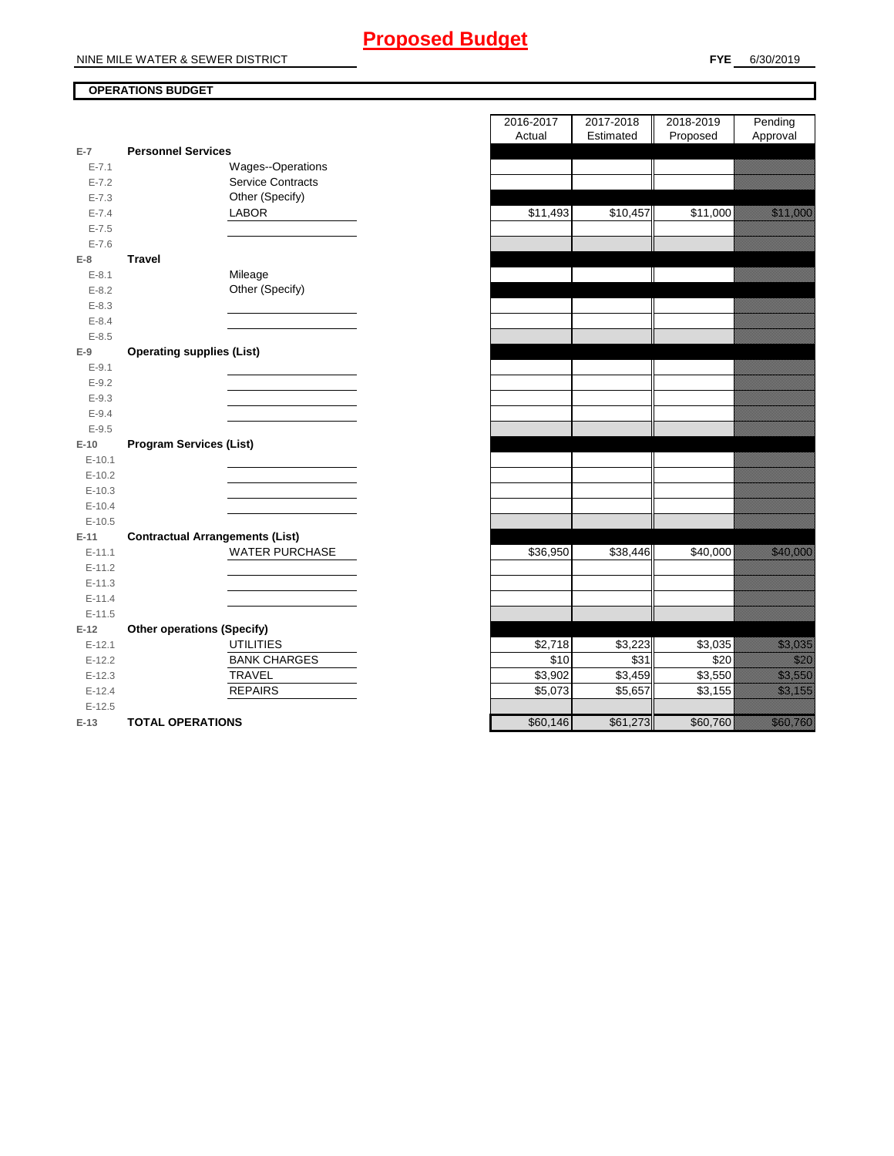# **Proposed Budget**

### **OPERATIONS BUDGET**

| $E-7$      | <b>Personnel Services</b>              |  |
|------------|----------------------------------------|--|
| $E - 7.1$  | Wages--Operations                      |  |
| $E - 7.2$  | <b>Service Contracts</b>               |  |
| $E - 7.3$  | Other (Specify)                        |  |
| $E - 7.4$  | <b>LABOR</b>                           |  |
| $E - 7.5$  |                                        |  |
| $E - 7.6$  |                                        |  |
| $E-8$      | <b>Travel</b>                          |  |
| $E - 8.1$  | Mileage                                |  |
| $E - 8.2$  | Other (Specify)                        |  |
| $E - 8.3$  |                                        |  |
| $E - 8.4$  |                                        |  |
| $E - 8.5$  |                                        |  |
| $E-9$      | <b>Operating supplies (List)</b>       |  |
| $E-9.1$    |                                        |  |
| $E - 9.2$  |                                        |  |
| $E - 9.3$  |                                        |  |
| $E - 9.4$  |                                        |  |
| $E-9.5$    |                                        |  |
| $E-10$     | <b>Program Services (List)</b>         |  |
| $E - 10.1$ |                                        |  |
| $E-10.2$   |                                        |  |
| $E-10.3$   |                                        |  |
| $E - 10.4$ |                                        |  |
| $E-10.5$   |                                        |  |
| E-11       | <b>Contractual Arrangements (List)</b> |  |
| $E-11.1$   | <b>WATER PURCHASE</b>                  |  |
| $E-11.2$   |                                        |  |
| $E-11.3$   |                                        |  |
| $E-11.4$   |                                        |  |
| $E-11.5$   |                                        |  |
| $E-12$     | <b>Other operations (Specify)</b>      |  |
| $E-12.1$   | <b>UTILITIES</b>                       |  |
| $E-12.2$   | <b>BANK CHARGES</b>                    |  |
| $E-12.3$   | <b>TRAVEL</b>                          |  |
| $E-12.4$   | <b>REPAIRS</b>                         |  |
| $E-12.5$   |                                        |  |
| $E-13$     | <b>TOTAL OPERATIONS</b>                |  |

|                |                                        | 2016-2017<br>Actual | 2017-2018<br>Estimated | 2018-2019<br>Proposed | Pending<br>Approval                                                                                                    |
|----------------|----------------------------------------|---------------------|------------------------|-----------------------|------------------------------------------------------------------------------------------------------------------------|
| $\overline{7}$ | <b>Personnel Services</b>              |                     |                        |                       |                                                                                                                        |
| $E - 7.1$      | Wages--Operations                      |                     |                        |                       |                                                                                                                        |
| $E - 7.2$      | <b>Service Contracts</b>               |                     |                        |                       |                                                                                                                        |
| $E - 7.3$      | Other (Specify)                        |                     |                        |                       |                                                                                                                        |
| $E - 7.4$      | LABOR                                  | \$11,493            | \$10,457               | \$11,000              | <u> Karl Sara</u>                                                                                                      |
| $E - 7.5$      |                                        |                     |                        |                       |                                                                                                                        |
| $E - 7.6$      |                                        |                     |                        |                       |                                                                                                                        |
| 8              | <b>Travel</b>                          |                     |                        |                       |                                                                                                                        |
| $E - 8.1$      | Mileage                                |                     |                        |                       |                                                                                                                        |
| $E-8.2$        | Other (Specify)                        |                     |                        |                       |                                                                                                                        |
| $E - 8.3$      |                                        |                     |                        |                       |                                                                                                                        |
| $E - 8.4$      |                                        |                     |                        |                       |                                                                                                                        |
| $E - 8.5$      |                                        |                     |                        |                       |                                                                                                                        |
| 9              | <b>Operating supplies (List)</b>       |                     |                        |                       |                                                                                                                        |
| $E - 9.1$      |                                        |                     |                        |                       |                                                                                                                        |
| $E - 9.2$      |                                        |                     |                        |                       |                                                                                                                        |
| $E - 9.3$      |                                        |                     |                        |                       |                                                                                                                        |
| $E - 9.4$      |                                        |                     |                        |                       |                                                                                                                        |
| $E - 9.5$      |                                        |                     |                        |                       |                                                                                                                        |
| 10             | <b>Program Services (List)</b>         |                     |                        |                       |                                                                                                                        |
| $E-10.1$       |                                        |                     |                        |                       |                                                                                                                        |
| $E-10.2$       |                                        |                     |                        |                       |                                                                                                                        |
| $E-10.3$       |                                        |                     |                        |                       |                                                                                                                        |
| $E-10.4$       |                                        |                     |                        |                       |                                                                                                                        |
| $E-10.5$       |                                        |                     |                        |                       |                                                                                                                        |
| $-11$          | <b>Contractual Arrangements (List)</b> |                     |                        |                       |                                                                                                                        |
| $E-11.1$       | <b>WATER PURCHASE</b>                  | \$36,950            | \$38,446               | \$40,000              | <u> Karl Sara</u>                                                                                                      |
| $E-11.2$       |                                        |                     |                        |                       |                                                                                                                        |
| $E-11.3$       |                                        |                     |                        |                       |                                                                                                                        |
| $E-11.4$       |                                        |                     |                        |                       |                                                                                                                        |
| $E-11.5$       |                                        |                     |                        |                       |                                                                                                                        |
| 12             | <b>Other operations (Specify)</b>      |                     |                        |                       |                                                                                                                        |
| $E-12.1$       | <b>UTILITIES</b>                       | \$2,718             | \$3,223                | \$3,035               | <u>tion and</u>                                                                                                        |
| $E-12.2$       | <b>BANK CHARGES</b>                    | \$10                | \$31                   | \$20                  | <u>mana</u>                                                                                                            |
| $E-12.3$       | <b>TRAVEL</b>                          | \$3,902             | $\overline{$3,459}$    | \$3,550               | <u>i karatika ka</u>                                                                                                   |
| $E-12.4$       | <b>REPAIRS</b>                         | \$5,073             | \$5,657                | \$3,155               | <u>ting and the second second in the second second in the second second in the second second in the second second </u> |
| $E-12.5$       |                                        |                     |                        |                       |                                                                                                                        |
| $-13$          | <b>TOTAL OPERATIONS</b>                | \$60.146            | \$61.273               | \$60,760              | AMANG MANG                                                                                                             |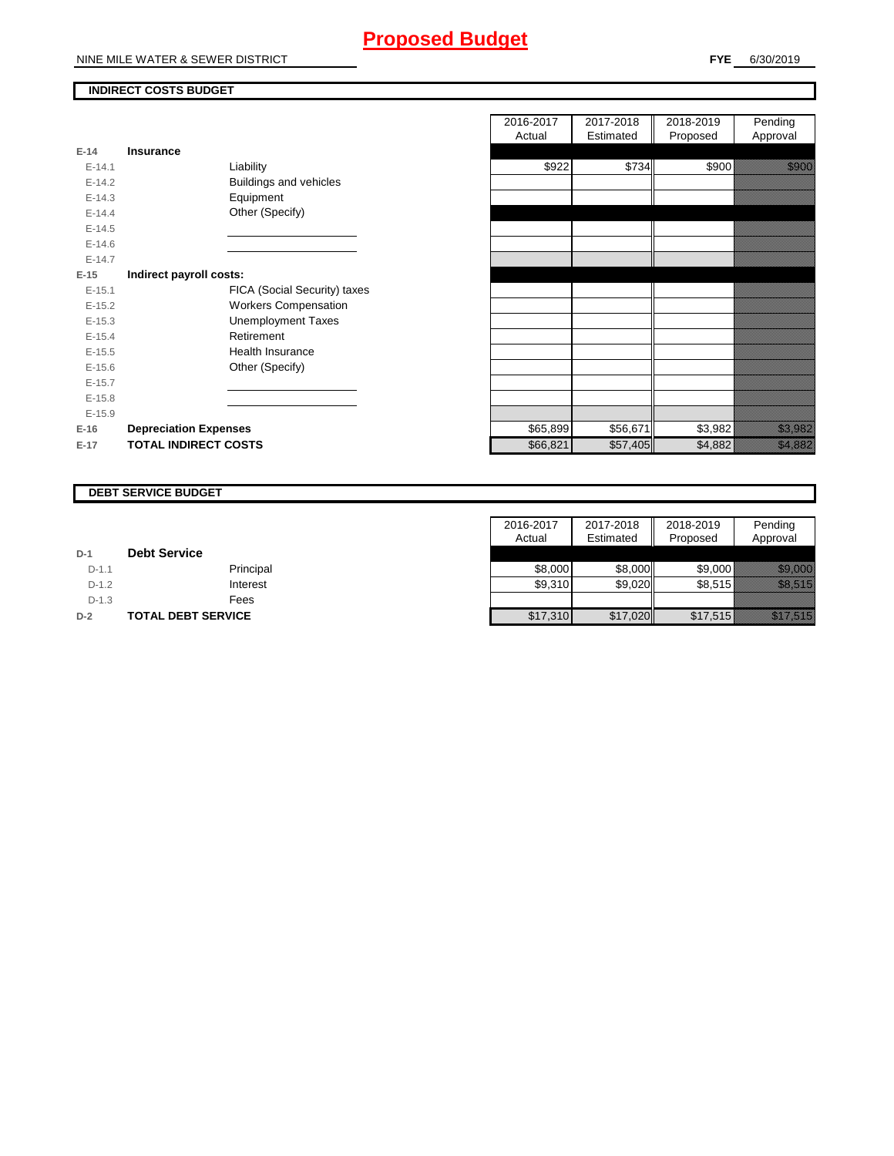## **Proposed Budget**

NINE MILE WATER & SEWER DISTRICT

### **INDIRECT COSTS BUDGET**

| E-14 -   | Insurance                     |
|----------|-------------------------------|
| $E-14.1$ | Liability                     |
| $E-14.2$ | <b>Buildings and vehicles</b> |
| $E-14.3$ | Equipment                     |
| $F-144$  | Other (Specify)               |
| $F-14.5$ |                               |
| $F-146$  |                               |
| $F-147$  |                               |
| E-15     | Indirect payroll costs:       |
| $E-15.1$ | FICA (Social Security) taxes  |
| $F-152$  | <b>Workers Compensation</b>   |
| $F-15.3$ | Unemployment Taxes            |
| $E-15.4$ | Retirement                    |
| $E-15.5$ | Health Insurance              |
| $E-15.6$ | Other (Specify)               |
| $E-15.7$ |                               |
| $E-15.8$ |                               |
| $E-15.9$ |                               |
| $E-16$   | <b>Depreciation Expenses</b>  |
| $E-17$   | <b>TOTAL INDIRECT COSTS</b>   |

|          |                              | 2016-2017 | 2017-2018 | 2018-2019 | Pending                                                                                                                |
|----------|------------------------------|-----------|-----------|-----------|------------------------------------------------------------------------------------------------------------------------|
|          |                              | Actual    | Estimated | Proposed  | Approval                                                                                                               |
| $E-14$   | Insurance                    |           |           |           |                                                                                                                        |
| $E-14.1$ | Liability                    | \$922     | \$734     | \$900     |                                                                                                                        |
| $E-14.2$ | Buildings and vehicles       |           |           |           |                                                                                                                        |
| $E-14.3$ | Equipment                    |           |           |           |                                                                                                                        |
| $E-14.4$ | Other (Specify)              |           |           |           |                                                                                                                        |
| $E-14.5$ |                              |           |           |           |                                                                                                                        |
| $E-14.6$ |                              |           |           |           |                                                                                                                        |
| $E-14.7$ |                              |           |           |           |                                                                                                                        |
| $E-15$   | Indirect payroll costs:      |           |           |           |                                                                                                                        |
| $E-15.1$ | FICA (Social Security) taxes |           |           |           |                                                                                                                        |
| $E-15.2$ | <b>Workers Compensation</b>  |           |           |           |                                                                                                                        |
| $E-15.3$ | <b>Unemployment Taxes</b>    |           |           |           |                                                                                                                        |
| $E-15.4$ | Retirement                   |           |           |           |                                                                                                                        |
| $E-15.5$ | Health Insurance             |           |           |           |                                                                                                                        |
| $E-15.6$ | Other (Specify)              |           |           |           |                                                                                                                        |
| $E-15.7$ |                              |           |           |           |                                                                                                                        |
| $E-15.8$ |                              |           |           |           |                                                                                                                        |
| $E-15.9$ |                              |           |           |           |                                                                                                                        |
| E-16     | <b>Depreciation Expenses</b> | \$65,899  | \$56,671  | \$3,982   | <u>tion and the community of the community of the community of the community of the community of the community of </u> |
| $E-17$   | <b>TOTAL INDIRECT COSTS</b>  | \$66,821  | \$57,405  | \$4,882   | <u> Karlin Sara</u>                                                                                                    |
|          |                              |           |           |           |                                                                                                                        |

#### **DEBT SERVICE BUDGET**

|         |                           | 2016-2017 | 2017-2018 | 2018-2019 | Pending              |
|---------|---------------------------|-----------|-----------|-----------|----------------------|
|         |                           | Actual    | Estimated | Proposed  | Approval             |
| $D-1$   | <b>Debt Service</b>       |           |           |           |                      |
| $D-1.1$ | Principal                 | \$8,000   | \$8,000   | \$9,000   | <u> Kalendari K</u>  |
| $D-1.2$ | Interest                  | \$9,310   | \$9,020   | \$8,515   | <u> Kalendari K</u>  |
| $D-1.3$ | Fees                      |           |           |           |                      |
| $D-2$   | <b>TOTAL DEBT SERVICE</b> | \$17,310  | \$17,020  | \$17,515  | <u>ili ku hidu k</u> |